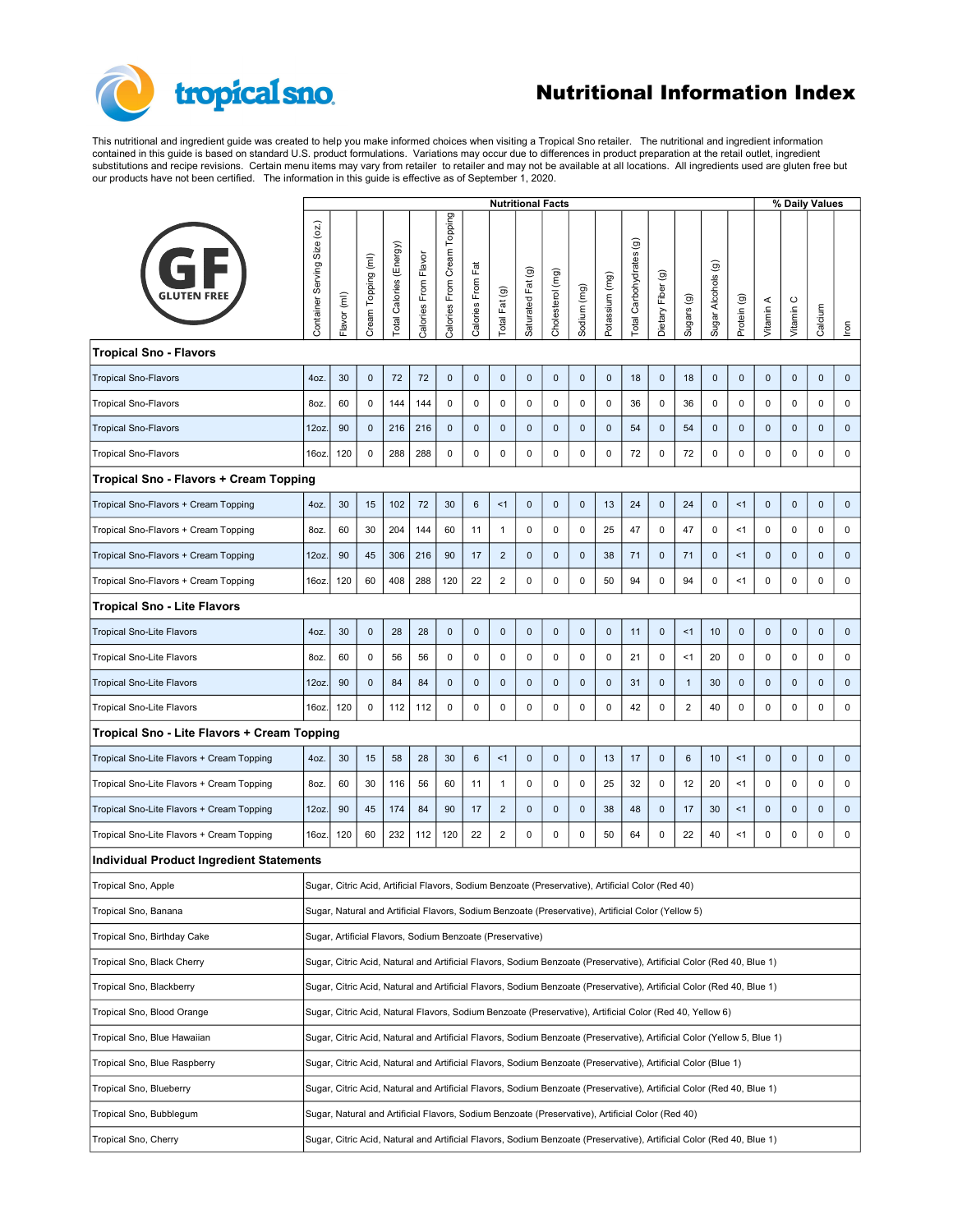## tropical sno.

## Nutritional Information Index

This nutritional and ingredient guide was created to help you make informed choices when visiting a Tropical Sno retailer. The nutritional and ingredient information<br>substitutions and recipe revisions. Certain menu items

|                                             |                                                                                                                         | % Daily Values<br><b>Nutritional Facts</b>                                                                            |                    |                         |                     |                                |                   |                |                     |                  |             |                |                                                      |                   |                                  |                    |             |                     |                                 |                |                                     |
|---------------------------------------------|-------------------------------------------------------------------------------------------------------------------------|-----------------------------------------------------------------------------------------------------------------------|--------------------|-------------------------|---------------------|--------------------------------|-------------------|----------------|---------------------|------------------|-------------|----------------|------------------------------------------------------|-------------------|----------------------------------|--------------------|-------------|---------------------|---------------------------------|----------------|-------------------------------------|
| <b>GLUTEN FREE</b>                          |                                                                                                                         | Flavor (ml)                                                                                                           | Cream Topping (ml) | Total Calories (Energy) | Calories From Flavo | Topping<br>Calories From Cream | Calories From Fat | Total Fat (g)  | Fat(g)<br>Saturated | Cholesterol (mg) | Sodium (mg) | Potassium (mg) | $\widehat{\mathbf{G}}$<br><b>Total Carbohydrates</b> | Dietary Fiber (g) | $\widehat{\mathbf{e}}$<br>Sugars | Sugar Alcohols (g) | Protein (g) | Vitamin A           | $\circ$<br>Vitamin <sup>6</sup> | Calcium        | $\underline{\overline{\mathrm{e}}}$ |
| <b>Tropical Sno - Flavors</b>               |                                                                                                                         |                                                                                                                       |                    |                         |                     |                                |                   |                |                     |                  |             |                |                                                      |                   |                                  |                    |             |                     |                                 |                |                                     |
| <b>Tropical Sno-Flavors</b>                 | 4oz.                                                                                                                    | 30                                                                                                                    | $\mathbf 0$        | 72                      | 72                  | $\mathbf 0$                    | $\mathbf{0}$      | $\mathbf 0$    | $\mathbf 0$         | $\mathbf 0$      | $\mathbf 0$ | $\mathbf 0$    | 18                                                   | $\mathbf 0$       | 18                               | $\mathbf 0$        | $\mathbf 0$ | $\mathbf 0$         | $\mathbf 0$                     | $\mathbf{0}$   | $\mathbf 0$                         |
| <b>Tropical Sno-Flavors</b>                 | 8oz.                                                                                                                    | 60                                                                                                                    | $\mathsf 0$        | 144                     | 144                 | $\mathbf 0$                    | $\mathsf 0$       | $\mathsf 0$    | $\mathsf 0$         | $\mathsf 0$      | $\mathbf 0$ | 0              | 36                                                   | $\mathbf{0}$      | 36                               | $\mathbf 0$        | 0           | $\mathbf 0$         | 0                               | $\mathbf 0$    | $\mathsf 0$                         |
| <b>Tropical Sno-Flavors</b>                 | 12oz.                                                                                                                   | 90                                                                                                                    | $\pmb{0}$          | 216                     | 216                 | $\mathbf{0}$                   | $\mathbf 0$       | $\mathbf 0$    | $\mathbf 0$         | $\mathbf 0$      | $\mathbf 0$ | $\mathbf 0$    | 54                                                   | $\mathbf{0}$      | 54                               | $\mathbf 0$        | $\mathbf 0$ | $\mathbf 0$         | $\mathbf 0$                     | $\mathbf 0$    | $\mathbf 0$                         |
| <b>Tropical Sno-Flavors</b>                 | 16oz.                                                                                                                   | 120                                                                                                                   | $\mathbf 0$        | 288                     | 288                 | $\mathsf 0$                    | $\mathsf 0$       | $\mathsf 0$    | $\mathsf 0$         | $\mathsf 0$      | $\mathsf 0$ | $\mathsf 0$    | 72                                                   | $\mathsf 0$       | 72                               | $\mathsf 0$        | $\mathsf 0$ | $\mathsf 0$         | $\mathsf 0$                     | $\mathsf 0$    | $\mathsf{O}$                        |
| Tropical Sno - Flavors + Cream Topping      |                                                                                                                         |                                                                                                                       |                    |                         |                     |                                |                   |                |                     |                  |             |                |                                                      |                   |                                  |                    |             |                     |                                 |                |                                     |
| Tropical Sno-Flavors + Cream Topping        | 4oz.                                                                                                                    | 30                                                                                                                    | 15                 | 102                     | 72                  | 30                             | $6\phantom{.}6$   | <1             | $\mathbf 0$         | $\mathbf 0$      | $\mathbf 0$ | 13             | 24                                                   | $\mathbf 0$       | 24                               | $\mathbf 0$        | <1          | $\mathbf 0$         | $\mathbf 0$                     | $\mathbf 0$    | $\mathbf 0$                         |
| Tropical Sno-Flavors + Cream Topping        | 8oz.                                                                                                                    | 60                                                                                                                    | 30                 | 204                     | 144                 | 60                             | 11                | $\overline{1}$ | $\mathbf 0$         | $\mathsf 0$      | $\mathbf 0$ | 25             | 47                                                   | $\pmb{0}$         | 47                               | $\mathsf 0$        | <1          | 0                   | 0                               | $\pmb{0}$      | $\mathsf 0$                         |
| Tropical Sno-Flavors + Cream Topping        | 12oz.                                                                                                                   | 90                                                                                                                    | 45                 | 306                     | 216                 | 90                             | 17                | $\overline{2}$ | $\mathbf 0$         | $\mathbf 0$      | $\mathbf 0$ | 38             | 71                                                   | $\mathbf{0}$      | 71                               | $\mathbf 0$        | <1          | $\mathbf 0$         | $\mathbf 0$                     | $\mathbf 0$    | $\mathbf 0$                         |
| Tropical Sno-Flavors + Cream Topping        | 16oz.                                                                                                                   | 120                                                                                                                   | 60                 | 408                     | 288                 | 120                            | 22                | $\overline{2}$ | $\pmb{0}$           | $\mathsf 0$      | $\mathbf 0$ | 50             | 94                                                   | $\mathsf 0$       | 94                               | $\mathsf 0$        | < 1         | 0                   | 0                               | $\mathsf 0$    | $\mathsf 0$                         |
| Tropical Sno - Lite Flavors                 |                                                                                                                         |                                                                                                                       |                    |                         |                     |                                |                   |                |                     |                  |             |                |                                                      |                   |                                  |                    |             |                     |                                 |                |                                     |
| <b>Tropical Sno-Lite Flavors</b>            | 4oz.                                                                                                                    | 30                                                                                                                    | $\pmb{0}$          | 28                      | 28                  | $\overline{0}$                 | $\mathbf 0$       | $\mathbf 0$    | $\mathsf{O}$        | $\pmb{0}$        | $\mathbf 0$ | $\mathbf 0$    | 11                                                   | $\mathbf 0$       | <1                               | $10$               | $\mathbf 0$ | $\mathbf 0$         | $\mathbf 0$                     | $\mathbf{0}$   | $\mathbf 0$                         |
| <b>Tropical Sno-Lite Flavors</b>            | 8oz.                                                                                                                    | 60                                                                                                                    | $\mathbf 0$        | 56                      | 56                  | $\mathbf 0$                    | $\mathbf 0$       | $\mathbf 0$    | $\mathbf 0$         | $\mathsf 0$      | $\mathsf 0$ | 0              | 21                                                   | $\mathbf 0$       | <1                               | 20                 | $\mathbf 0$ | $\mathsf 0$         | 0                               | $\mathbf 0$    | $\mathsf 0$                         |
| <b>Tropical Sno-Lite Flavors</b>            | 12oz.                                                                                                                   | 90                                                                                                                    | $\mathbf 0$        | 84                      | 84                  | $\mathbf 0$                    | $\mathbf 0$       | $\mathbf 0$    | $\mathbf 0$         | $\mathbf 0$      | $\mathbf 0$ | $\mathbf 0$    | 31                                                   | $\overline{0}$    | $\overline{1}$                   | 30                 | $\mathbf 0$ | $\mathbf 0$         | $\mathbf 0$                     | $\mathbf 0$    | $\mathbf 0$                         |
| Tropical Sno-Lite Flavors                   | 16oz.                                                                                                                   | 120                                                                                                                   | $\mathbf 0$        | 112                     | 112                 | $\mathsf 0$                    | $\mathsf 0$       | $\mathsf 0$    | $\pmb{0}$           | $\mathsf 0$      | $\pmb{0}$   | 0              | 42                                                   | $\mathbf 0$       | $\overline{2}$                   | 40                 | $\mathsf 0$ | 0                   | $\mathsf 0$                     | $\pmb{0}$      | $\mathsf 0$                         |
| Tropical Sno - Lite Flavors + Cream Topping |                                                                                                                         |                                                                                                                       |                    |                         |                     |                                |                   |                |                     |                  |             |                |                                                      |                   |                                  |                    |             |                     |                                 |                |                                     |
| Tropical Sno-Lite Flavors + Cream Topping   | 4oz.                                                                                                                    | 30                                                                                                                    | 15                 | 58                      | 28                  | 30                             | $6\phantom{.}6$   | <1             | $\mathbf 0$         | $\mathbf 0$      | $\mathbf 0$ | 13             | 17                                                   | $\mathbf 0$       | $\,6\,$                          | $10$               | <1          | $\mathbf 0$         | $\mathbf 0$                     | $\overline{0}$ | $\mathbf 0$                         |
| Tropical Sno-Lite Flavors + Cream Topping   | 8oz.                                                                                                                    | 60                                                                                                                    | 30                 | 116                     | 56                  | 60                             | 11                | $\overline{1}$ | $\mathsf 0$         | $\mathsf 0$      | $\mathbf 0$ | 25             | 32                                                   | $\mathbf 0$       | 12                               | 20                 | <1          | 0                   | 0                               | $\mathbf 0$    | $\mathsf 0$                         |
| Tropical Sno-Lite Flavors + Cream Topping   | 12oz.                                                                                                                   | 90                                                                                                                    | 45                 | 174                     | 84                  | 90                             | 17                | $\overline{2}$ | $\pmb{0}$           | $\pmb{0}$        | $\pmb{0}$   | 38             | 48                                                   | $\mathbf 0$       | 17                               | 30                 | <1          | $\pmb{0}$           | $\mathbf 0$                     | $\mathbf 0$    | $\mathbf 0$                         |
| Tropical Sno-Lite Flavors + Cream Topping   | 16oz.                                                                                                                   | 120                                                                                                                   | 60                 | 232                     | 112                 | 120                            | 22                | $\overline{2}$ | $\mathbf 0$         | $\mathsf 0$      | $\mathbf 0$ | 50             | 64                                                   | $\mathsf 0$       | 22                               | 40                 | <1          | $\mathsf{O}\xspace$ | 0                               | $\mathbf 0$    | $\mathsf 0$                         |
| Individual Product Ingredient Statements    |                                                                                                                         |                                                                                                                       |                    |                         |                     |                                |                   |                |                     |                  |             |                |                                                      |                   |                                  |                    |             |                     |                                 |                |                                     |
| Tropical Sno, Apple                         |                                                                                                                         | Sugar, Citric Acid, Artificial Flavors, Sodium Benzoate (Preservative), Artificial Color (Red 40)                     |                    |                         |                     |                                |                   |                |                     |                  |             |                |                                                      |                   |                                  |                    |             |                     |                                 |                |                                     |
| Tropical Sno, Banana                        |                                                                                                                         | Sugar, Natural and Artificial Flavors, Sodium Benzoate (Preservative), Artificial Color (Yellow 5)                    |                    |                         |                     |                                |                   |                |                     |                  |             |                |                                                      |                   |                                  |                    |             |                     |                                 |                |                                     |
| Tropical Sno, Birthday Cake                 |                                                                                                                         | Sugar, Artificial Flavors, Sodium Benzoate (Preservative)                                                             |                    |                         |                     |                                |                   |                |                     |                  |             |                |                                                      |                   |                                  |                    |             |                     |                                 |                |                                     |
| Tropical Sno, Black Cherry                  |                                                                                                                         | Sugar, Citric Acid, Natural and Artificial Flavors, Sodium Benzoate (Preservative), Artificial Color (Red 40, Blue 1) |                    |                         |                     |                                |                   |                |                     |                  |             |                |                                                      |                   |                                  |                    |             |                     |                                 |                |                                     |
| Tropical Sno, Blackberry                    |                                                                                                                         | Sugar, Citric Acid, Natural and Artificial Flavors, Sodium Benzoate (Preservative), Artificial Color (Red 40, Blue 1) |                    |                         |                     |                                |                   |                |                     |                  |             |                |                                                      |                   |                                  |                    |             |                     |                                 |                |                                     |
| Tropical Sno, Blood Orange                  | Sugar, Citric Acid, Natural Flavors, Sodium Benzoate (Preservative), Artificial Color (Red 40, Yellow 6)                |                                                                                                                       |                    |                         |                     |                                |                   |                |                     |                  |             |                |                                                      |                   |                                  |                    |             |                     |                                 |                |                                     |
| Tropical Sno, Blue Hawaiian                 | Sugar, Citric Acid, Natural and Artificial Flavors, Sodium Benzoate (Preservative), Artificial Color (Yellow 5, Blue 1) |                                                                                                                       |                    |                         |                     |                                |                   |                |                     |                  |             |                |                                                      |                   |                                  |                    |             |                     |                                 |                |                                     |
| Tropical Sno, Blue Raspberry                |                                                                                                                         | Sugar, Citric Acid, Natural and Artificial Flavors, Sodium Benzoate (Preservative), Artificial Color (Blue 1)         |                    |                         |                     |                                |                   |                |                     |                  |             |                |                                                      |                   |                                  |                    |             |                     |                                 |                |                                     |
| Tropical Sno, Blueberry                     |                                                                                                                         | Sugar, Citric Acid, Natural and Artificial Flavors, Sodium Benzoate (Preservative), Artificial Color (Red 40, Blue 1) |                    |                         |                     |                                |                   |                |                     |                  |             |                |                                                      |                   |                                  |                    |             |                     |                                 |                |                                     |
| Tropical Sno, Bubblegum                     |                                                                                                                         | Sugar, Natural and Artificial Flavors, Sodium Benzoate (Preservative), Artificial Color (Red 40)                      |                    |                         |                     |                                |                   |                |                     |                  |             |                |                                                      |                   |                                  |                    |             |                     |                                 |                |                                     |
| Tropical Sno, Cherry                        |                                                                                                                         | Sugar, Citric Acid, Natural and Artificial Flavors, Sodium Benzoate (Preservative), Artificial Color (Red 40, Blue 1) |                    |                         |                     |                                |                   |                |                     |                  |             |                |                                                      |                   |                                  |                    |             |                     |                                 |                |                                     |